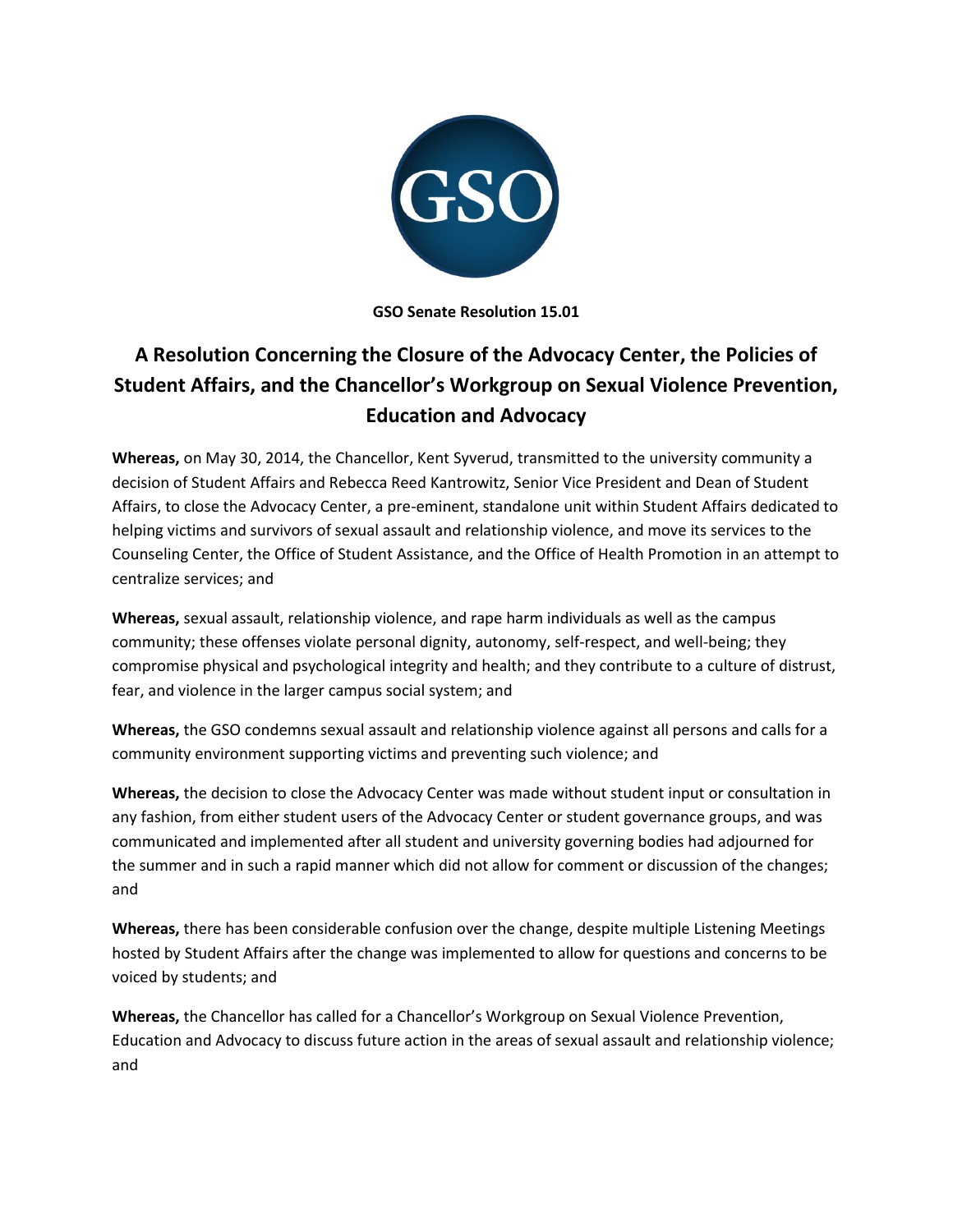

**GSO Senate Resolution 15.01**

## **A Resolution Concerning the Closure of the Advocacy Center, the Policies of Student Affairs, and the Chancellor's Workgroup on Sexual Violence Prevention, Education and Advocacy**

**Whereas,** on May 30, 2014, the Chancellor, Kent Syverud, transmitted to the university community a decision of Student Affairs and Rebecca Reed Kantrowitz, Senior Vice President and Dean of Student Affairs, to close the Advocacy Center, a pre-eminent, standalone unit within Student Affairs dedicated to helping victims and survivors of sexual assault and relationship violence, and move its services to the Counseling Center, the Office of Student Assistance, and the Office of Health Promotion in an attempt to centralize services; and

**Whereas,** sexual assault, relationship violence, and rape harm individuals as well as the campus community; these offenses violate personal dignity, autonomy, self-respect, and well-being; they compromise physical and psychological integrity and health; and they contribute to a culture of distrust, fear, and violence in the larger campus social system; and

**Whereas,** the GSO condemns sexual assault and relationship violence against all persons and calls for a community environment supporting victims and preventing such violence; and

**Whereas,** the decision to close the Advocacy Center was made without student input or consultation in any fashion, from either student users of the Advocacy Center or student governance groups, and was communicated and implemented after all student and university governing bodies had adjourned for the summer and in such a rapid manner which did not allow for comment or discussion of the changes; and

**Whereas,** there has been considerable confusion over the change, despite multiple Listening Meetings hosted by Student Affairs after the change was implemented to allow for questions and concerns to be voiced by students; and

**Whereas,** the Chancellor has called for a Chancellor's Workgroup on Sexual Violence Prevention, Education and Advocacy to discuss future action in the areas of sexual assault and relationship violence; and